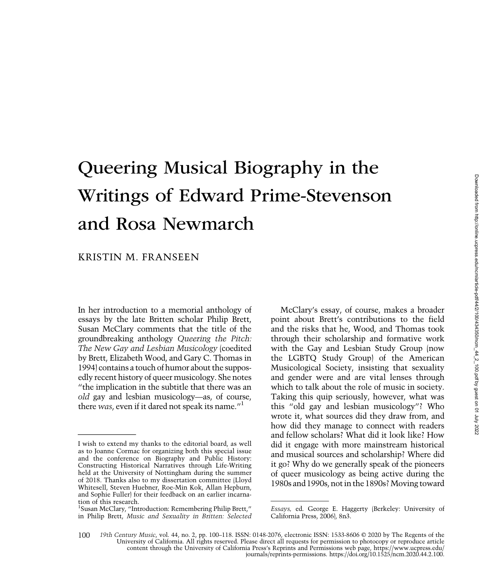# Queering Musical Biography in the Writings of Edward Prime-Stevenson and Rosa Newmarch

# KRISTIN M. FRANSEEN

In her introduction to a memorial anthology of essays by the late Britten scholar Philip Brett, Susan McClary comments that the title of the groundbreaking anthology Queering the Pitch: The New Gay and Lesbian Musicology (coedited by Brett, Elizabeth Wood, and Gary C. Thomas in 1994) contains a touch of humor about the supposedly recent history of queer musicology. She notes "the implication in the subtitle that there was an old gay and lesbian musicology—as, of course, there was, even if it dared not speak its name."<sup>1</sup>

McClary's essay, of course, makes a broader point about Brett's contributions to the field and the risks that he, Wood, and Thomas took through their scholarship and formative work with the Gay and Lesbian Study Group (now the LGBTQ Study Group) of the American Musicological Society, insisting that sexuality and gender were and are vital lenses through which to talk about the role of music in society. Taking this quip seriously, however, what was this "old gay and lesbian musicology"? Who wrote it, what sources did they draw from, and how did they manage to connect with readers and fellow scholars? What did it look like? How did it engage with more mainstream historical and musical sources and scholarship? Where did it go? Why do we generally speak of the pioneers of queer musicology as being active during the 1980s and 1990s, not in the 1890s? Moving toward

I wish to extend my thanks to the editorial board, as well as to Joanne Cormac for organizing both this special issue and the conference on Biography and Public History: Constructing Historical Narratives through Life-Writing held at the University of Nottingham during the summer of 2018. Thanks also to my dissertation committee (Lloyd Whitesell, Steven Huebner, Roe-Min Kok, Allan Hepburn, and Sophie Fuller) for their feedback on an earlier incarnation of this research.

<sup>&</sup>lt;sup>1</sup>Susan McClary, "Introduction: Remembering Philip Brett," in Philip Brett, Music and Sexuality in Britten: Selected

Essays, ed. George E. Haggerty (Berkeley: University of California Press, 2006), 8n3.

<sup>19</sup>th Century Music, vol. 44, no. 2, pp. 100–118. ISSN: 0148-2076, electronic ISSN: 1533-8606 © 2020 by The Regents of the University of California. All rights reserved. Please direct all requests for permission to photocopy or reproduce article content through the University of California Press's Reprints and Permissions web page, https://www.ucpress.edu/ journals/reprints-permissions. https://doi.org/10.1525/ncm.2020.44.2.100. 100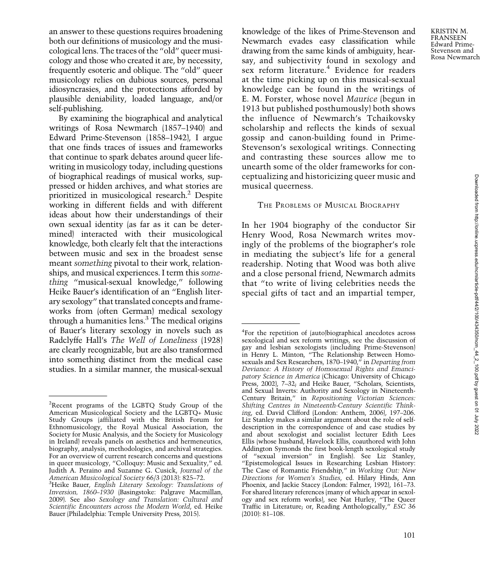an answer to these questions requires broadening both our definitions of musicology and the musicological lens. The traces of the "old" queer musicology and those who created it are, by necessity, frequently esoteric and oblique. The "old" queer musicology relies on dubious sources, personal idiosyncrasies, and the protections afforded by plausible deniability, loaded language, and/or self-publishing.

By examining the biographical and analytical writings of Rosa Newmarch (1857–1940) and Edward Prime-Stevenson (1858–1942), I argue that one finds traces of issues and frameworks that continue to spark debates around queer lifewriting in musicology today, including questions of biographical readings of musical works, suppressed or hidden archives, and what stories are prioritized in musicological research.2 Despite working in different fields and with different ideas about how their understandings of their own sexual identity (as far as it can be determined) interacted with their musicological knowledge, both clearly felt that the interactions between music and sex in the broadest sense meant something pivotal to their work, relationships, and musical experiences. I term this something "musical-sexual knowledge," following Heike Bauer's identification of an "English literary sexology" that translated concepts and frameworks from (often German) medical sexology through a humanities  $lens<sup>3</sup>$ . The medical origins of Bauer's literary sexology in novels such as Radclyffe Hall's The Well of Loneliness (1928) are clearly recognizable, but are also transformed into something distinct from the medical case studies. In a similar manner, the musical-sexual knowledge of the likes of Prime-Stevenson and Newmarch evades easy classification while drawing from the same kinds of ambiguity, hearsay, and subjectivity found in sexology and sex reform literature.<sup>4</sup> Evidence for readers at the time picking up on this musical-sexual knowledge can be found in the writings of E. M. Forster, whose novel Maurice (begun in 1913 but published posthumously) both shows the influence of Newmarch's Tchaikovsky scholarship and reflects the kinds of sexual gossip and canon-building found in Prime-Stevenson's sexological writings. Connecting and contrasting these sources allow me to unearth some of the older frameworks for conceptualizing and historicizing queer music and musical queerness.

#### THE PROBLEMS OF MUSICAL BIOGRAPHY

In her 1904 biography of the conductor Sir Henry Wood, Rosa Newmarch writes movingly of the problems of the biographer's role in mediating the subject's life for a general readership. Noting that Wood was both alive and a close personal friend, Newmarch admits that "to write of living celebrities needs the special gifts of tact and an impartial temper,

<sup>&</sup>lt;sup>2</sup>Recent programs of the LGBTQ Study Group of the American Musicological Society and the LGBTQ+ Music Study Groups (affiliated with the British Forum for Ethnomusicology, the Royal Musical Association, the Society for Music Analysis, and the Society for Musicology in Ireland) reveals panels on aesthetics and hermeneutics, biography, analysis, methodologies, and archival strategies. For an overview of current research concerns and questions in queer musicology, "Colloquy: Music and Sexuality," ed. Judith A. Peraino and Suzanne G. Cusick, Journal of the American Musicological Society 66/3 (2013): 825-72.

<sup>&</sup>lt;sup>3</sup>Heike Bauer, English Literary Sexology: Translations of Inversion, 1860–1930 (Basingstoke: Palgrave Macmillan, 2009). See also Sexology and Translation: Cultural and Scientific Encounters across the Modern World, ed. Heike Bauer (Philadelphia: Temple University Press, 2015).

<sup>4</sup> For the repetition of (auto)biographical anecdotes across sexological and sex reform writings, see the discussion of gay and lesbian sexologists (including Prime-Stevenson) in Henry L. Minton, "The Relationship Between Homosexuals and Sex Researchers, 1870–1940," in Departing from Deviance: A History of Homosexual Rights and Emancipatory Science in America (Chicago: University of Chicago Press, 2002), 7–32; and Heike Bauer, "Scholars, Scientists, and Sexual Inverts: Authority and Sexology in Nineteenth-Century Britain," in Repositioning Victorian Sciences: Shifting Centres in Nineteenth-Century Scientific Thinking, ed. David Clifford (London: Anthem, 2006), 197–206. Liz Stanley makes a similar argument about the role of selfdescription in the correspondence of and case studies by and about sexologist and socialist lecturer Edith Lees Ellis (whose husband, Havelock Ellis, coauthored with John Addington Symonds the first book-length sexological study of "sexual inversion" in English). See Liz Stanley, "Epistemological Issues in Researching Lesbian History: The Case of Romantic Friendship," in Working Out: New Directions for Women's Studies, ed. Hilary Hinds, Ann Phoenix, and Jackie Stacey (London: Falmer, 1992), 161–73. For shared literary references (many of which appear in sexology and sex reform works), see Nat Hurley, "The Queer Traffic in Literature; or, Reading Anthologically," ESC 36 (2010): 81–108.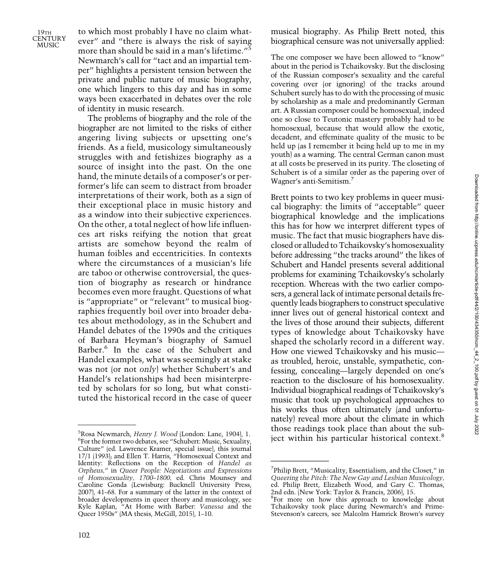to which most probably I have no claim whatever" and "there is always the risk of saying more than should be said in a man's lifetime."<sup>5</sup> Newmarch's call for "tact and an impartial temper" highlights a persistent tension between the private and public nature of music biography, one which lingers to this day and has in some ways been exacerbated in debates over the role of identity in music research.

The problems of biography and the role of the biographer are not limited to the risks of either angering living subjects or upsetting one's friends. As a field, musicology simultaneously struggles with and fetishizes biography as a source of insight into the past. On the one hand, the minute details of a composer's or performer's life can seem to distract from broader interpretations of their work, both as a sign of their exceptional place in music history and as a window into their subjective experiences. On the other, a total neglect of how life influences art risks reifying the notion that great artists are somehow beyond the realm of human foibles and eccentricities. In contexts where the circumstances of a musician's life are taboo or otherwise controversial, the question of biography as research or hindrance becomes even more fraught. Questions of what is "appropriate" or "relevant" to musical biographies frequently boil over into broader debates about methodology, as in the Schubert and Handel debates of the 1990s and the critiques of Barbara Heyman's biography of Samuel Barber.<sup>6</sup> In the case of the Schubert and Handel examples, what was seemingly at stake was not (or not only) whether Schubert's and Handel's relationships had been misinterpreted by scholars for so long, but what constituted the historical record in the case of queer musical biography. As Philip Brett noted, this biographical censure was not universally applied:

The one composer we have been allowed to "know" about in the period is Tchaikovsky. But the disclosing of the Russian composer's sexuality and the careful covering over (or ignoring) of the tracks around Schubert surely has to do with the processing of music by scholarship as a male and predominantly German art. A Russian composer could be homosexual, indeed one so close to Teutonic mastery probably had to be homosexual, because that would allow the exotic, decadent, and effeminate quality of the music to be held up (as I remember it being held up to me in my youth) as a warning. The central German canon must at all costs be preserved in its purity. The closeting of Schubert is of a similar order as the papering over of Wagner's anti-Semitism.7

Brett points to two key problems in queer musical biography: the limits of "acceptable" queer biographical knowledge and the implications this has for how we interpret different types of music. The fact that music biographers have disclosed or alluded to Tchaikovsky's homosexuality before addressing "the tracks around" the likes of Schubert and Handel presents several additional problems for examining Tchaikovsky's scholarly reception. Whereas with the two earlier composers, a general lack of intimate personal details frequently leads biographers to construct speculative inner lives out of general historical context and the lives of those around their subjects, different types of knowledge about Tchaikovsky have shaped the scholarly record in a different way. How one viewed Tchaikovsky and his music as troubled, heroic, unstable, sympathetic, confessing, concealing—largely depended on one's reaction to the disclosure of his homosexuality. Individual biographical readings of Tchaikovsky's music that took up psychological approaches to his works thus often ultimately (and unfortunately) reveal more about the climate in which those readings took place than about the sub- $^{5}$ Rosa Newmarch, Henry J. Wood (London: Lane, 1904), 1.<br> $^{6}$ Eor the former two debates see "Schubert: Music Sexuality" in ject within his particular historical context.<sup>8</sup>

<sup>&</sup>lt;sup>5</sup>Rosa Newmarch*, Henry J. Wood (*London: Lane, 1904), 1.<br><sup>6</sup>For the former two debates, see "Schubert: Music, Sexuality, Culture" (ed. Lawrence Kramer, special issue), this journal 17/1 (1993); and Ellen T. Harris, "Homosexual Context and Identity: Reflections on the Reception of Handel as Orpheus," in Queer People: Negotiations and Expressions of Homosexuality, 1700–1800, ed. Chris Mounsey and Caroline Gonda (Lewisburg: Bucknell University Press, 2007), 41–68. For a summary of the latter in the context of broader developments in queer theory and musicology, see Kyle Kaplan, "At Home with Barber: Vanessa and the Queer 1950s" (MA thesis, McGill, 2015), 1–10.

<sup>&</sup>lt;sup>7</sup>Philip Brett, "Musicality, Essentialism, and the Closet," in Queering the Pitch: The New Gay and Lesbian Musicology, ed. Philip Brett, Elizabeth Wood, and Gary C. Thomas, 2nd edn. (New York: Taylor & Francis, 2006), 15.

<sup>&</sup>lt;sup>8</sup>For more on how this approach to knowledge about Tchaikovsky took place during Newmarch's and Prime-Stevenson's careers, see Malcolm Hamrick Brown's survey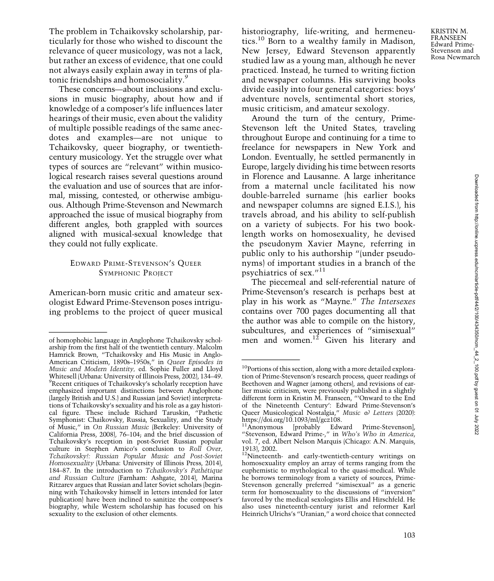KRISTIN M. **FRANSEEN** Edward Prime-Stevenson and Rosa Newmarch

The problem in Tchaikovsky scholarship, particularly for those who wished to discount the relevance of queer musicology, was not a lack, but rather an excess of evidence, that one could not always easily explain away in terms of platonic friendships and homosociality.<sup>9</sup>

These concerns—about inclusions and exclusions in music biography, about how and if knowledge of a composer's life influences later hearings of their music, even about the validity of multiple possible readings of the same anecdotes and examples—are not unique to Tchaikovsky, queer biography, or twentiethcentury musicology. Yet the struggle over what types of sources are "relevant" within musicological research raises several questions around the evaluation and use of sources that are informal, missing, contested, or otherwise ambiguous. Although Prime-Stevenson and Newmarch approached the issue of musical biography from different angles, both grappled with sources aligned with musical-sexual knowledge that they could not fully explicate.

## EDWARD PRIME-STEVENSON'<sup>S</sup> QUEER SYMPHONIC PROJECT

American-born music critic and amateur sexologist Edward Prime-Stevenson poses intriguing problems to the project of queer musical historiography, life-writing, and hermeneutics.<sup>10</sup> Born to a wealthy family in Madison, New Jersey, Edward Stevenson apparently studied law as a young man, although he never practiced. Instead, he turned to writing fiction and newspaper columns. His surviving books divide easily into four general categories: boys' adventure novels, sentimental short stories, music criticism, and amateur sexology.

Around the turn of the century, Prime-Stevenson left the United States, traveling throughout Europe and continuing for a time to freelance for newspapers in New York and London. Eventually, he settled permanently in Europe, largely dividing his time between resorts in Florence and Lausanne. A large inheritance from a maternal uncle facilitated his now double-barreled surname (his earlier books and newspaper columns are signed E.I.S.), his travels abroad, and his ability to self-publish on a variety of subjects. For his two booklength works on homosexuality, he devised the pseudonym Xavier Mayne, referring in public only to his authorship "(under pseudonyms) of important studies in a branch of the psychiatrics of sex."<sup>11</sup>

The piecemeal and self-referential nature of Prime-Stevenson's research is perhaps best at play in his work as "Mayne." The Intersexes contains over 700 pages documenting all that the author was able to compile on the history, subcultures, and experiences of "simisexual"

of homophobic language in Anglophone Tchaikovsky schol- men and women.<sup>12</sup> Given his literary and arship from the first half of the twentieth century. Malcolm Hamrick Brown, "Tchaikovsky and His Music in Anglo-American Criticism, 1890s–1950s," in Queer Episodes in Music and Modern Identity, ed. Sophie Fuller and Lloyd Whitesell (Urbana: University of Illinois Press, 2002), 134–49. Recent critiques of Tchaikovsky's scholarly reception have emphasized important distinctions between Anglophone (largely British and U.S.) and Russian (and Soviet) interpretations of Tchaikovsky's sexuality and his role as a gay historical figure. These include Richard Taruskin, "Pathetic Symphonist: Chaikovsky, Russia, Sexuality, and the Study of Music," in On Russian Music (Berkeley: University of California Press, 2008), 76–104; and the brief discussion of Tchaikovsky's reception in post-Soviet Russian popular culture in Stephen Amico's conclusion to Roll Over, Tchaikovsky!: Russian Popular Music and Post-Soviet Homosexuality (Urbana: University of Illinois Press, 2014), 184–87. In the introduction to Tchaikovsky's Pathétique and Russian Culture (Farnham: Ashgate, 2014), Marina Ritzarev argues that Russian and later Soviet scholars (beginning with Tchaikovsky himself in letters intended for later publication) have been inclined to sanitize the composer's biography, while Western scholarship has focused on his sexuality to the exclusion of other elements.

<sup>&</sup>lt;sup>10</sup>Portions of this section, along with a more detailed exploration of Prime-Stevenson's research process, queer readings of Beethoven and Wagner (among others), and revisions of earlier music criticism, were previously published in a slightly different form in Kristin M. Franseen, "'Onward to the End of the Nineteenth Century': Edward Prime-Stevenson's Queer Musicological Nostalgia," Music & Letters (2020): [https://doi.org/10.1093/ml/gcz108.](https://doi.org/10.1093/ml/gcz108)

<sup>&</sup>lt;sup>11</sup>Anonymous [probably Edward Prime-Stevenson], "Stevenson, Edward Prime-," in Who's Who in America, vol. 7, ed. Albert Nelson Marquis (Chicago: A.N. Marquis, 1913), 2002.

<sup>&</sup>lt;sup>12</sup>Nineteenth- and early-twentieth-century writings on homosexuality employ an array of terms ranging from the euphemistic to mythological to the quasi-medical. While he borrows terminology from a variety of sources, Prime-Stevenson generally preferred "simisexual" as a generic term for homosexuality to the discussions of "inversion" favored by the medical sexologists Ellis and Hirschfeld. He also uses nineteenth-century jurist and reformer Karl Heinrich Ulrichs's "Uranian," a word choice that connected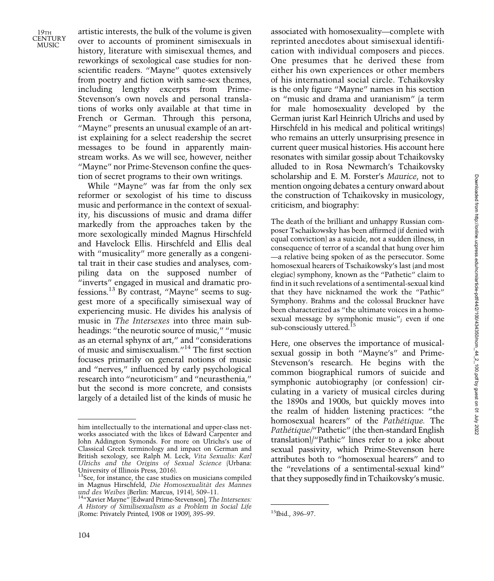19TH **CENTURY** MUSIC<sup>1</sup>

artistic interests, the bulk of the volume is given over to accounts of prominent simisexuals in history, literature with simisexual themes, and reworkings of sexological case studies for nonscientific readers. "Mayne" quotes extensively from poetry and fiction with same-sex themes, including lengthy excerpts from Prime-Stevenson's own novels and personal translations of works only available at that time in French or German. Through this persona, "Mayne" presents an unusual example of an artist explaining for a select readership the secret messages to be found in apparently mainstream works. As we will see, however, neither "Mayne" nor Prime-Stevenson confine the question of secret programs to their own writings.

While "Mayne" was far from the only sex reformer or sexologist of his time to discuss music and performance in the context of sexuality, his discussions of music and drama differ markedly from the approaches taken by the more sexologically minded Magnus Hirschfeld and Havelock Ellis. Hirschfeld and Ellis deal with "musicality" more generally as a congenital trait in their case studies and analyses, compiling data on the supposed number of "inverts" engaged in musical and dramatic professions.13 By contrast, "Mayne" seems to suggest more of a specifically simisexual way of experiencing music. He divides his analysis of music in The Intersexes into three main subheadings: "the neurotic source of music," "music as an eternal sphynx of art," and "considerations of music and simisexualism."<sup>14</sup> The first section focuses primarily on general notions of music and "nerves," influenced by early psychological research into "neuroticism" and "neurasthenia," but the second is more concrete, and consists largely of a detailed list of the kinds of music he

associated with homosexuality—complete with reprinted anecdotes about simisexual identification with individual composers and pieces. One presumes that he derived these from either his own experiences or other members of his international social circle. Tchaikovsky is the only figure "Mayne" names in his section on "music and drama and uranianism" (a term for male homosexuality developed by the German jurist Karl Heinrich Ulrichs and used by Hirschfeld in his medical and political writings) who remains an utterly unsurprising presence in current queer musical histories. His account here resonates with similar gossip about Tchaikovsky alluded to in Rosa Newmarch's Tchaikovsky scholarship and E. M. Forster's Maurice, not to mention ongoing debates a century onward about the construction of Tchaikovsky in musicology, criticism, and biography:

The death of the brilliant and unhappy Russian composer Tschaikowsky has been affirmed (if denied with equal conviction) as a suicide, not a sudden illness, in consequence of terror of a scandal that hung over him —a relative being spoken of as the persecutor. Some homosexual hearers of Tschaikowsky's last (and most elegiac) symphony, known as the "Pathetic" claim to find in it such revelations of a sentimental-sexual kind that they have nicknamed the work the "Pathic" Symphony. Brahms and the colossal Bruckner have been characterized as "the ultimate voices in a homosexual message by symphonic music"; even if one sub-consciously uttered.<sup>15</sup>

Here, one observes the importance of musicalsexual gossip in both "Mayne's" and Prime-Stevenson's research. He begins with the common biographical rumors of suicide and symphonic autobiography (or confession) circulating in a variety of musical circles during the 1890s and 1900s, but quickly moves into the realm of hidden listening practices: "the homosexual hearers" of the Pathétique. The Pathétique/"Pathetic" (the then-standard English translation)/"Pathic" lines refer to a joke about sexual passivity, which Prime-Stevenson here attributes both to "homosexual hearers" and to the "revelations of a sentimental-sexual kind" that they supposedly find in Tchaikovsky's music.

him intellectually to the international and upper-class networks associated with the likes of Edward Carpenter and John Addington Symonds. For more on Ulrichs's use of Classical Greek terminology and impact on German and British sexology, see Ralph M. Leck, Vita Sexualis: Karl Ulrichs and the Origins of Sexual Science (Urbana: University of Illinois Press, 2016).

<sup>&</sup>lt;sup>13</sup>See, for instance, the case studies on musicians compiled in Magnus Hirschfeld, Die Homosexualität des Mannes

<sup>&</sup>lt;sup>14</sup>"Xavier Mayne" [Edward Prime-Stevenson], The Intersexes: A History of Similisexualism as a Problem in Social Life (Rome: Privately Printed, 1908 or 1909), 395–99. <sup>15</sup>Ibid., 396–97.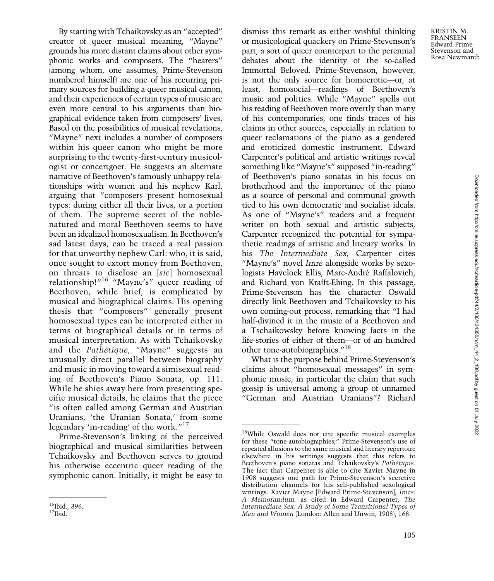By starting with Tchaikovsky as an "accepted" creator of queer musical meaning, "Mayne" grounds his more distant claims about other symphonic works and composers. The "hearers" (among whom, one assumes, Prime-Stevenson numbered himself) are one of his recurring primary sources for building a queer musical canon. and their experiences of certain types of music are even more central to his arguments than biographical evidence taken from composers' lives. Based on the possibilities of musical revelations, "Mayne" next includes a number of composers within his queer canon who might be more surprising to the twenty-first-century musicologist or concertgoer. He suggests an alternate narrative of Beethoven's famously unhappy relationships with women and his nephew Karl, arguing that "composers present homosexual types: during either all their lives, or a portion of them. The supreme secret of the noblenatured and moral Beethoven seems to have been an idealized homosexualism. In Beethoven's sad latest days, can be traced a real passion for that unworthy nephew Carl: who, it is said, once sought to extort money from Beethoven, on threats to disclose an [sic] homosexual relationship!"<sup>16</sup> "Mayne's" queer reading of Beethoven, while brief, is complicated by musical and biographical claims. His opening thesis that "composers" generally present homosexual types can be interpreted either in terms of biographical details or in terms of musical interpretation. As with Tchaikovsky and the Pathétique, "Mayne" suggests an unusually direct parallel between biography and music in moving toward a simisexual reading of Beethoven's Piano Sonata, op. 111. While he shies away here from presenting specific musical details, he claims that the piece "is often called among German and Austrian Uranians, 'the Uranian Sonata,' from some legendary 'in-reading' of the work."<sup>17</sup>

Prime-Stevenson's linking of the perceived biographical and musical similarities between Tchaikovsky and Beethoven serves to ground his otherwise eccentric queer reading of the symphonic canon. Initially, it might be easy to

dismiss this remark as either wishful thinking or musicological quackery on Prime-Stevenson's part, a sort of queer counterpart to the perennial debates about the identity of the so-called Immortal Beloved. Prime-Stevenson, however, is not the only source for homoerotic—or, at least, homosocial—readings of Beethoven's music and politics. While "Mayne" spells out his reading of Beethoven more overtly than many of his contemporaries, one finds traces of his claims in other sources, especially in relation to queer reclamations of the piano as a gendered and eroticized domestic instrument. Edward Carpenter's political and artistic writings reveal something like "Mayne's" supposed "in-reading" of Beethoven's piano sonatas in his focus on brotherhood and the importance of the piano as a source of personal and communal growth tied to his own democratic and socialist ideals. As one of "Mayne's" readers and a frequent writer on both sexual and artistic subjects, Carpenter recognized the potential for sympathetic readings of artistic and literary works. In his The Intermediate Sex, Carpenter cites "Mayne's" novel Imre alongside works by sexologists Havelock Ellis, Marc-André Raffalovich, and Richard von Krafft-Ebing. In this passage, Prime-Stevenson has the character Oswald directly link Beethoven and Tchaikovsky to his own coming-out process, remarking that "I had half-divined it in the music of a Beethoven and a Tschaikowsky before knowing facts in the life-stories of either of them—or of an hundred other tone-autobiographies."<sup>18</sup>

What is the purpose behind Prime-Stevenson's claims about "homosexual messages" in symphonic music, in particular the claim that such gossip is universal among a group of unnamed "German and Austrian Uranians"? Richard

 $^{16}$ Ibid., 396.<br> $^{17}$ Ibid.

<sup>18</sup>While Oswald does not cite specific musical examples for these "tone-autobiographies," Prime-Stevenson's use of repeated allusions to the same musical and literary repertoire elsewhere in his writings suggests that this refers to Beethoven's piano sonatas and Tchaikovsky's Pathétique. The fact that Carpenter is able to cite Xavier Mayne in 1908 suggests one path for Prime-Stevenson's secretive distribution channels for his self-published sexological writings. Xavier Mayne [Edward Prime-Stevenson], Imre: A Memorandum, as cited in Edward Carpenter, The Intermediate Sex: A Study of Some Transitional Types of Men and Women (London: Allen and Unwin, 1908), 168.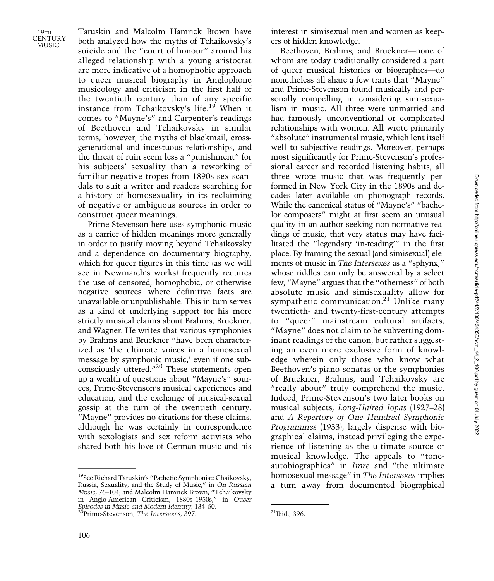Taruskin and Malcolm Hamrick Brown have both analyzed how the myths of Tchaikovsky's suicide and the "court of honour" around his alleged relationship with a young aristocrat are more indicative of a homophobic approach to queer musical biography in Anglophone musicology and criticism in the first half of the twentieth century than of any specific instance from Tchaikovsky's life.<sup>19</sup> When it comes to "Mayne's" and Carpenter's readings of Beethoven and Tchaikovsky in similar terms, however, the myths of blackmail, crossgenerational and incestuous relationships, and the threat of ruin seem less a "punishment" for his subjects' sexuality than a reworking of familiar negative tropes from 1890s sex scandals to suit a writer and readers searching for a history of homosexuality in its reclaiming of negative or ambiguous sources in order to construct queer meanings.

Prime-Stevenson here uses symphonic music as a carrier of hidden meanings more generally in order to justify moving beyond Tchaikovsky and a dependence on documentary biography, which for queer figures in this time (as we will see in Newmarch's works) frequently requires the use of censored, homophobic, or otherwise negative sources where definitive facts are unavailable or unpublishable. This in turn serves as a kind of underlying support for his more strictly musical claims about Brahms, Bruckner, and Wagner. He writes that various symphonies by Brahms and Bruckner "have been characterized as 'the ultimate voices in a homosexual message by symphonic music,' even if one subconsciously uttered."<sup>20</sup> These statements open up a wealth of questions about "Mayne's" sources, Prime-Stevenson's musical experiences and education, and the exchange of musical-sexual gossip at the turn of the twentieth century. "Mayne" provides no citations for these claims, although he was certainly in correspondence with sexologists and sex reform activists who shared both his love of German music and his

interest in simisexual men and women as keepers of hidden knowledge.

Beethoven, Brahms, and Bruckner—none of whom are today traditionally considered a part of queer musical histories or biographies—do nonetheless all share a few traits that "Mayne" and Prime-Stevenson found musically and personally compelling in considering simisexualism in music. All three were unmarried and had famously unconventional or complicated relationships with women. All wrote primarily "absolute" instrumental music, which lent itself well to subjective readings. Moreover, perhaps most significantly for Prime-Stevenson's professional career and recorded listening habits, all three wrote music that was frequently performed in New York City in the 1890s and decades later available on phonograph records. While the canonical status of "Mayne's" "bachelor composers" might at first seem an unusual quality in an author seeking non-normative readings of music, that very status may have facilitated the "legendary 'in-reading'" in the first place. By framing the sexual (and simisexual) elements of music in The Intersexes as a "sphynx," whose riddles can only be answered by a select few, "Mayne" argues that the "otherness" of both absolute music and simisexuality allow for sympathetic communication.<sup>21</sup> Unlike many twentieth- and twenty-first-century attempts to "queer" mainstream cultural artifacts, "Mayne" does not claim to be subverting dominant readings of the canon, but rather suggesting an even more exclusive form of knowledge wherein only those who know what Beethoven's piano sonatas or the symphonies of Bruckner, Brahms, and Tchaikovsky are "really about" truly comprehend the music. Indeed, Prime-Stevenson's two later books on musical subjects, Long-Haired Iopas (1927–28) and A Repertory of One Hundred Symphonic Programmes (1933), largely dispense with biographical claims, instead privileging the experience of listening as the ultimate source of musical knowledge. The appeals to "toneautobiographies" in Imre and "the ultimate homosexual message" in The Intersexes implies a turn away from documented biographical

<sup>19</sup>See Richard Taruskin's "Pathetic Symphonist: Chaikovsky, Russia, Sexuality, and the Study of Music," in On Russian Music, 76–104; and Malcolm Hamrick Brown, "Tchaikovsky in Anglo-American Criticism, 1880s–1950s," in Queer Episodes in Music and Modern Identity, 134–50. <sup>21</sup>Prime-Stevenson, The Intersexes, 397. <sup>21</sup>Ibid., 396.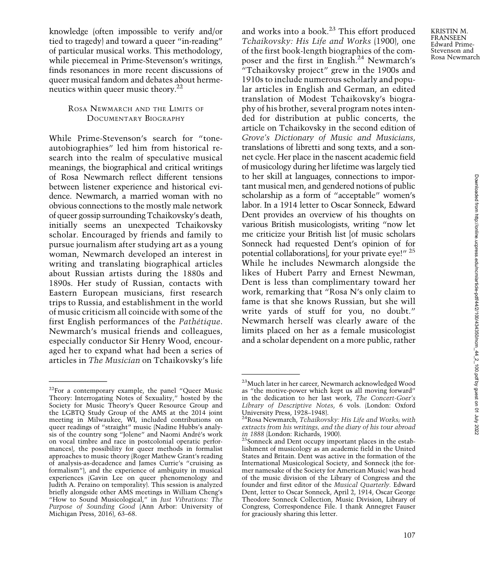knowledge (often impossible to verify and/or tied to tragedy) and toward a queer "in-reading" of particular musical works. This methodology, while piecemeal in Prime-Stevenson's writings, finds resonances in more recent discussions of queer musical fandom and debates about hermeneutics within queer music theory. $22$ 

## ROSA NEWMARCH AND THE LIMITS OF DOCUMENTARY BIOGRAPHY

While Prime-Stevenson's search for "toneautobiographies" led him from historical research into the realm of speculative musical meanings, the biographical and critical writings of Rosa Newmarch reflect different tensions between listener experience and historical evidence. Newmarch, a married woman with no obvious connections to the mostly male network of queer gossip surrounding Tchaikovsky's death, initially seems an unexpected Tchaikovsky scholar. Encouraged by friends and family to pursue journalism after studying art as a young woman, Newmarch developed an interest in writing and translating biographical articles about Russian artists during the 1880s and 1890s. Her study of Russian, contacts with Eastern European musicians, first research trips to Russia, and establishment in the world of music criticism all coincide with some of the first English performances of the Pathétique. Newmarch's musical friends and colleagues, especially conductor Sir Henry Wood, encouraged her to expand what had been a series of articles in The Musician on Tchaikovsky's life and works into a book.<sup>23</sup> This effort produced Tchaikovsky: His Life and Works (1900), one of the first book-length biographies of the composer and the first in English.<sup>24</sup> Newmarch's "Tchaikovsky project" grew in the 1900s and 1910s to include numerous scholarly and popular articles in English and German, an edited translation of Modest Tchaikovsky's biography of his brother, several program notes intended for distribution at public concerts, the article on Tchaikovsky in the second edition of Grove's Dictionary of Music and Musicians, translations of libretti and song texts, and a sonnet cycle. Her place in the nascent academic field of musicology during her lifetime was largely tied to her skill at languages, connections to important musical men, and gendered notions of public scholarship as a form of "acceptable" women's labor. In a 1914 letter to Oscar Sonneck, Edward Dent provides an overview of his thoughts on various British musicologists, writing "now let me criticize your British list [of music scholars Sonneck had requested Dent's opinion of for potential collaborations], for your private eye!" <sup>25</sup> While he includes Newmarch alongside the likes of Hubert Parry and Ernest Newman, Dent is less than complimentary toward her work, remarking that "Rosa N's only claim to fame is that she knows Russian, but she will write yards of stuff for you, no doubt." Newmarch herself was clearly aware of the limits placed on her as a female musicologist and a scholar dependent on a more public, rather

KRISTIN M. **FRANSEEN** Edward Prime-Stevenson and Rosa Newmarch

 $22$ For a contemporary example, the panel "Queer Music Theory: Interrogating Notes of Sexuality," hosted by the Society for Music Theory's Queer Resource Group and the LGBTQ Study Group of the AMS at the 2014 joint meeting in Milwaukee, WI, included contributions on queer readings of "straight" music (Nadine Hubbs's analysis of the country song "Jolene" and Naomi André's work on vocal timbre and race in postcolonial operatic performances), the possibility for queer methods in formalist approaches to music theory (Roger Mathew Grant's reading of analysis-as-decadence and James Currie's "cruising as formalism"), and the experience of ambiguity in musical experiences (Gavin Lee on queer phenomenology and Judith A. Peraino on temporality). This session is analyzed briefly alongside other AMS meetings in William Cheng's "How to Sound Musicological," in Just Vibrations: The Purpose of Sounding Good (Ann Arbor: University of Michigan Press, 2016), 63–68.

<sup>23</sup>Much later in her career, Newmarch acknowledged Wood as "the motive-power which kept us all moving forward" in the dedication to her last work, The Concert-Goer's Library of Descriptive Notes, 6 vols. (London: Oxford

<sup>&</sup>lt;sup>24</sup>Rosa Newmarch, Tchaikovsky: His Life and Works; with extracts from his writings, and the diary of his tour abroad in 1888 (London: Richards, 1900).

 $\frac{25}{5}$ Sonneck and Dent occupy important places in the establishment of musicology as an academic field in the United States and Britain. Dent was active in the formation of the International Musicological Society, and Sonneck (the former namesake of the Society for American Music) was head of the music division of the Library of Congress and the founder and first editor of the Musical Quarterly. Edward Dent, letter to Oscar Sonneck, April 2, 1914, Oscar George Theodore Sonneck Collection, Music Division, Library of Congress, Correspondence File. I thank Annegret Fauser for graciously sharing this letter.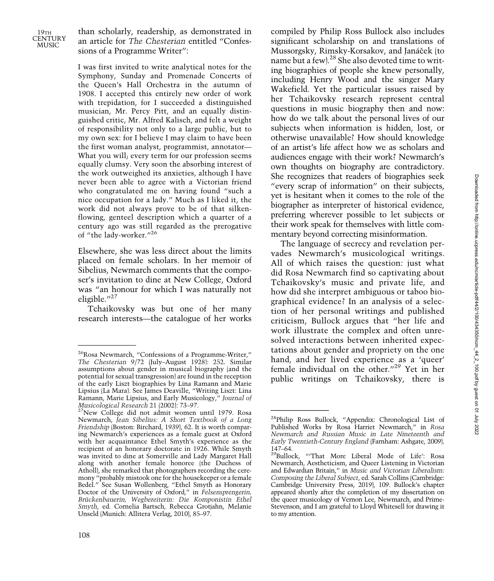

than scholarly, readership, as demonstrated in an article for The Chesterian entitled "Confessions of a Programme Writer":

I was first invited to write analytical notes for the Symphony, Sunday and Promenade Concerts of the Queen's Hall Orchestra in the autumn of 1908. I accepted this entirely new order of work with trepidation, for I succeeded a distinguished musician, Mr. Percy Pitt, and an equally distinguished critic, Mr. Alfred Kalisch, and felt a weight of responsibility not only to a large public, but to my own sex: for I believe I may claim to have been the first woman analyst, programmist, annotator— What you will; every term for our profession seems equally clumsy. Very soon the absorbing interest of the work outweighed its anxieties, although I have never been able to agree with a Victorian friend who congratulated me on having found "such a nice occupation for a lady." Much as I liked it, the work did not always prove to be of that silkenflowing, genteel description which a quarter of a century ago was still regarded as the prerogative of "the lady-worker."<sup>26</sup>

Elsewhere, she was less direct about the limits placed on female scholars. In her memoir of Sibelius, Newmarch comments that the composer's invitation to dine at New College, Oxford was "an honour for which I was naturally not eligible."<sup>27</sup>

Tchaikovsky was but one of her many research interests—the catalogue of her works

compiled by Philip Ross Bullock also includes significant scholarship on and translations of Mussorgsky, Rimsky-Korsakov, and Janáček (to name but a few).28 She also devoted time to writing biographies of people she knew personally, including Henry Wood and the singer Mary Wakefield. Yet the particular issues raised by her Tchaikovsky research represent central questions in music biography then and now: how do we talk about the personal lives of our subjects when information is hidden, lost, or otherwise unavailable? How should knowledge of an artist's life affect how we as scholars and audiences engage with their work? Newmarch's own thoughts on biography are contradictory. She recognizes that readers of biographies seek "every scrap of information" on their subjects, yet is hesitant when it comes to the role of the biographer as interpreter of historical evidence, preferring wherever possible to let subjects or their work speak for themselves with little commentary beyond correcting misinformation.

The language of secrecy and revelation pervades Newmarch's musicological writings. All of which raises the question: just what did Rosa Newmarch find so captivating about Tchaikovsky's music and private life, and how did she interpret ambiguous or taboo biographical evidence? In an analysis of a selection of her personal writings and published criticism, Bullock argues that "her life and work illustrate the complex and often unresolved interactions between inherited expectations about gender and propriety on the one hand, and her lived experience as a 'queer' female individual on the other."<sup>29</sup> Yet in her public writings on Tchaikovsky, there is

<sup>26</sup>Rosa Newmarch, "Confessions of a Programme-Writer," The Chesterian 9/72 (July–August 1928): 252. Similar assumptions about gender in musical biography (and the potential for sexual transgression) are found in the reception of the early Liszt biographies by Lina Ramann and Marie Lipsius (La Mara). See James Deaville, "Writing Liszt: Lina Ramann, Marie Lipsius, and Early Musicology," Journal of Musicological Research 21 (2002): 73–97.

<sup>&</sup>lt;sup>27</sup>New College did not admit women until 1979. Rosa Newmarch, Jean Sibelius: A Short Textbook of a Long Friendship (Boston: Birchard, 1939), 62. It is worth comparing Newmarch's experiences as a female guest at Oxford with her acquaintance Ethel Smyth's experience as the recipient of an honorary doctorate in 1926. While Smyth was invited to dine at Somerville and Lady Margaret Hall along with another female honoree (the Duchess of Atholl), she remarked that photographers recording the ceremony "probably mistook one for the housekeeper or a female Bedel." See Susan Wollenberg, "Ethel Smyth as Honorary Doctor of the University of Oxford," in Felsensprengerin, Brückenbauerin, Wegbereiterin: Die Komponistin Ethel Smyth, ed. Cornelia Bartsch, Rebecca Grotjahn, Melanie Unseld (Munich: Allitera Verlag, 2010), 85–97.

<sup>28</sup>Philip Ross Bullock, "Appendix: Chronological List of Published Works by Rosa Harriet Newmarch," in Rosa Newmarch and Russian Music in Late Nineteenth and Early Twentieth-Century England (Farnham: Ashgate, 2009), <sup>147</sup>–64. 29Bullock, "'That More Liberal Mode of Life': Rosa

Newmarch, Aestheticism, and Queer Listening in Victorian and Edwardian Britain," in Music and Victorian Liberalism: Composing the Liberal Subject, ed. Sarah Collins (Cambridge: Cambridge University Press, 2019), 109. Bullock's chapter appeared shortly after the completion of my dissertation on the queer musicology of Vernon Lee, Newmarch, and Prime-Stevenson, and I am grateful to Lloyd Whitesell for drawing it to my attention.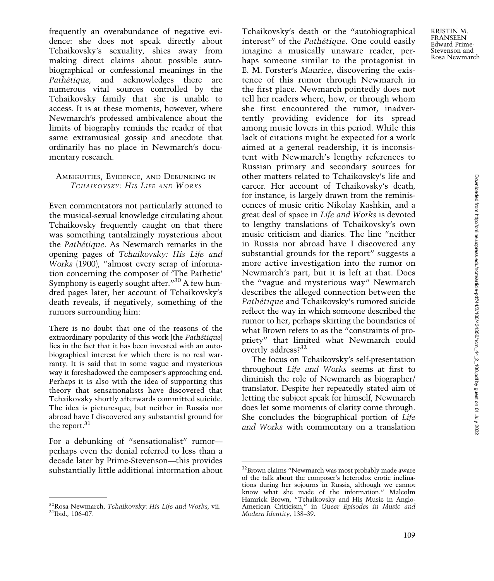frequently an overabundance of negative evidence: she does not speak directly about Tchaikovsky's sexuality, shies away from making direct claims about possible autobiographical or confessional meanings in the Pathétique, and acknowledges there are numerous vital sources controlled by the Tchaikovsky family that she is unable to access. It is at these moments, however, where Newmarch's professed ambivalence about the limits of biography reminds the reader of that same extramusical gossip and anecdote that ordinarily has no place in Newmarch's documentary research.

## AMBIGUITIES, EVIDENCE, AND DEBUNKING IN TCHAIKOVSKY: HIS LIFE AND WORKS

Even commentators not particularly attuned to the musical-sexual knowledge circulating about Tchaikovsky frequently caught on that there was something tantalizingly mysterious about the Pathétique. As Newmarch remarks in the opening pages of Tchaikovsky: His Life and Works (1900), "almost every scrap of information concerning the composer of 'The Pathetic' Symphony is eagerly sought after."<sup>30</sup> A few hundred pages later, her account of Tchaikovsky's death reveals, if negatively, something of the rumors surrounding him:

There is no doubt that one of the reasons of the extraordinary popularity of this work [the *Pathétique*] lies in the fact that it has been invested with an autobiographical interest for which there is no real warranty. It is said that in some vague and mysterious way it foreshadowed the composer's approaching end. Perhaps it is also with the idea of supporting this theory that sensationalists have discovered that Tchaikovsky shortly afterwards committed suicide. The idea is picturesque, but neither in Russia nor abroad have I discovered any substantial ground for the report.<sup>31</sup>

For a debunking of "sensationalist" rumorperhaps even the denial referred to less than a decade later by Prime-Stevenson—this provides substantially little additional information about Tchaikovsky's death or the "autobiographical interest" of the Pathétique. One could easily imagine a musically unaware reader, perhaps someone similar to the protagonist in E. M. Forster's Maurice, discovering the existence of this rumor through Newmarch in the first place. Newmarch pointedly does not tell her readers where, how, or through whom she first encountered the rumor, inadvertently providing evidence for its spread among music lovers in this period. While this lack of citations might be expected for a work aimed at a general readership, it is inconsistent with Newmarch's lengthy references to Russian primary and secondary sources for other matters related to Tchaikovsky's life and career. Her account of Tchaikovsky's death, for instance, is largely drawn from the reminiscences of music critic Nikolay Kashkin, and a great deal of space in Life and Works is devoted to lengthy translations of Tchaikovsky's own music criticism and diaries. The line "neither in Russia nor abroad have I discovered any substantial grounds for the report" suggests a more active investigation into the rumor on Newmarch's part, but it is left at that. Does the "vague and mysterious way" Newmarch describes the alleged connection between the Pathétique and Tchaikovsky's rumored suicide reflect the way in which someone described the rumor to her, perhaps skirting the boundaries of what Brown refers to as the "constraints of propriety" that limited what Newmarch could overtly address?32

The focus on Tchaikovsky's self-presentation throughout Life and Works seems at first to diminish the role of Newmarch as biographer/ translator. Despite her repeatedly stated aim of letting the subject speak for himself, Newmarch does let some moments of clarity come through. She concludes the biographical portion of Life and Works with commentary on a translation

KRISTIN M. FRANSEEN Edward Prime-Stevenson and Rosa Newmarch

 $^{30}$ Rosa Newmarch, *Tchaikovsky: His Life and Works*, vii.  $^{31}$ Ibid., 106–07.

<sup>&</sup>lt;sup>32</sup>Brown claims "Newmarch was most probably made aware of the talk about the composer's heterodox erotic inclinations during her sojourns in Russia, although we cannot know what she made of the information." Malcolm Hamrick Brown, "Tchaikovsky and His Music in Anglo-American Criticism," in Queer Episodes in Music and Modern Identity, 138–39.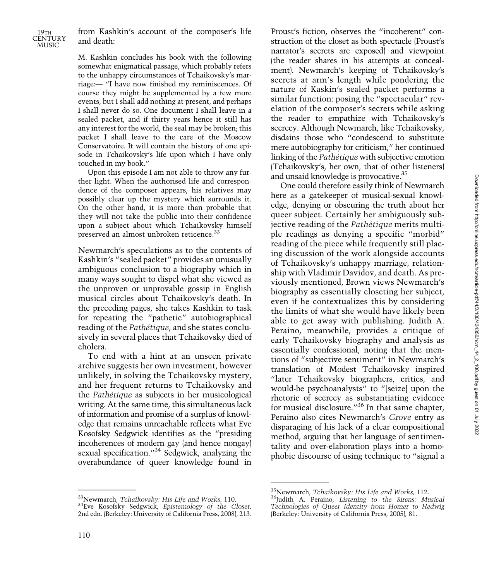

from Kashkin's account of the composer's life and death:

M. Kashkin concludes his book with the following somewhat enigmatical passage, which probably refers to the unhappy circumstances of Tchaikovsky's marriage:— "I have now finished my reminiscences. Of course they might be supplemented by a few more events, but I shall add nothing at present, and perhaps I shall never do so. One document I shall leave in a sealed packet, and if thirty years hence it still has any interest for the world, the seal may be broken; this packet I shall leave to the care of the Moscow Conservatoire. It will contain the history of one episode in Tchaikovsky's life upon which I have only touched in my book."

Upon this episode I am not able to throw any further light. When the authorised life and correspondence of the composer appears, his relatives may possibly clear up the mystery which surrounds it. On the other hand, it is more than probable that they will not take the public into their confidence upon a subject about which Tchaikovsky himself preserved an almost unbroken reticence.<sup>33</sup>

Newmarch's speculations as to the contents of Kashkin's "sealed packet" provides an unusually ambiguous conclusion to a biography which in many ways sought to dispel what she viewed as the unproven or unprovable gossip in English musical circles about Tchaikovsky's death. In the preceding pages, she takes Kashkin to task for repeating the "pathetic" autobiographical reading of the Pathétique, and she states conclusively in several places that Tchaikovsky died of cholera.

To end with a hint at an unseen private archive suggests her own investment, however unlikely, in solving the Tchaikovsky mystery, and her frequent returns to Tchaikovsky and the Pathétique as subjects in her musicological writing. At the same time, this simultaneous lack of information and promise of a surplus of knowledge that remains unreachable reflects what Eve Kosofsky Sedgwick identifies as the "presiding incoherences of modern gay (and hence nongay) sexual specification."<sup>34</sup> Sedgwick, analyzing the overabundance of queer knowledge found in

 $33$ Newmarch, *Tchaikovsky: His Life and Works*, 110.  $34$ Eve Kosofsky Sedgwick, *Epistemology of the Closet*, 2nd edn. (Berkeley: University of California Press, 2008), 213. Proust's fiction, observes the "incoherent" construction of the closet as both spectacle (Proust's narrator's secrets are exposed) and viewpoint (the reader shares in his attempts at concealment). Newmarch's keeping of Tchaikovsky's secrets at arm's length while pondering the nature of Kaskin's sealed packet performs a similar function: posing the "spectacular" revelation of the composer's secrets while asking the reader to empathize with Tchaikovsky's secrecy. Although Newmarch, like Tchaikovsky, disdains those who "condescend to substitute mere autobiography for criticism," her continued linking of the Pathétique with subjective emotion (Tchaikovsky's, her own, that of other listeners) and unsaid knowledge is provocative.35

One could therefore easily think of Newmarch here as a gatekeeper of musical-sexual knowledge, denying or obscuring the truth about her queer subject. Certainly her ambiguously subjective reading of the Pathétique merits multiple readings as denying a specific "morbid" reading of the piece while frequently still placing discussion of the work alongside accounts of Tchaikovsky's unhappy marriage, relationship with Vladimir Davidov, and death. As previously mentioned, Brown views Newmarch's biography as essentially closeting her subject, even if he contextualizes this by considering the limits of what she would have likely been able to get away with publishing. Judith A. Peraino, meanwhile, provides a critique of early Tchaikovsky biography and analysis as essentially confessional, noting that the mentions of "subjective sentiment" in Newmarch's translation of Modest Tchaikovsky inspired "later Tchaikovsky biographers, critics, and would-be psychoanalysts" to "[seize] upon the rhetoric of secrecy as substantiating evidence for musical disclosure."<sup>36</sup> In that same chapter, Peraino also cites Newmarch's Grove entry as disparaging of his lack of a clear compositional method, arguing that her language of sentimentality and over-elaboration plays into a homophobic discourse of using technique to "signal a

 $35$ Newmarch, *Tchaikovsky: His Life and Works*, 112.<br> $35$ Judith A. Peraino, *Listening to the Sirens: Musical* Technologies of Queer Identity from Homer to Hedwig (Berkeley: University of California Press, 2005), 81.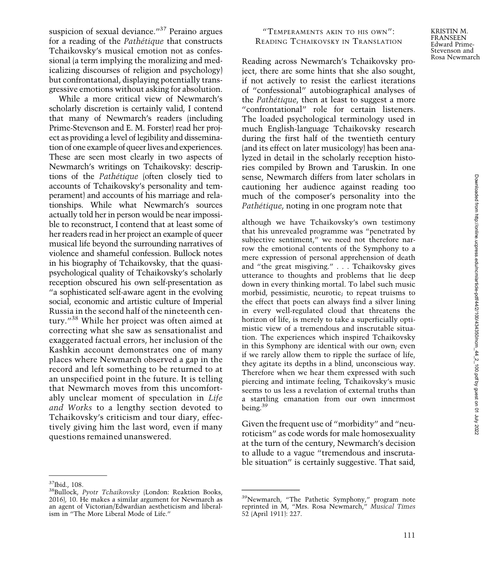suspicion of sexual deviance."<sup>37</sup> Peraino argues for a reading of the Pathétique that constructs Tchaikovsky's musical emotion not as confessional (a term implying the moralizing and medicalizing discourses of religion and psychology) but confrontational, displaying potentially transgressive emotions without asking for absolution.

While a more critical view of Newmarch's scholarly discretion is certainly valid, I contend that many of Newmarch's readers (including Prime-Stevenson and E. M. Forster) read her project as providing a level of legibility and dissemination of one example of queer lives and experiences. These are seen most clearly in two aspects of Newmarch's writings on Tchaikovsky: descriptions of the Pathétique (often closely tied to accounts of Tchaikovsky's personality and temperament) and accounts of his marriage and relationships. While what Newmarch's sources actually told her in person would be near impossible to reconstruct, I contend that at least some of her readers read in her project an example of queer musical life beyond the surrounding narratives of violence and shameful confession. Bullock notes in his biography of Tchaikovsky, that the quasipsychological quality of Tchaikovsky's scholarly reception obscured his own self-presentation as "a sophisticated self-aware agent in the evolving social, economic and artistic culture of Imperial Russia in the second half of the nineteenth century."<sup>38</sup> While her project was often aimed at correcting what she saw as sensationalist and exaggerated factual errors, her inclusion of the Kashkin account demonstrates one of many places where Newmarch observed a gap in the record and left something to be returned to at an unspecified point in the future. It is telling that Newmarch moves from this uncomfortably unclear moment of speculation in Life and Works to a lengthy section devoted to Tchaikovsky's criticism and tour diary, effectively giving him the last word, even if many questions remained unanswered.

# "TEMPERAMENTS AKIN TO HIS OWN": READING TCHAIKOVSKY IN TRANSLATION

Reading across Newmarch's Tchaikovsky project, there are some hints that she also sought, if not actively to resist the earliest iterations of "confessional" autobiographical analyses of the Pathétique, then at least to suggest a more "confrontational" role for certain listeners. The loaded psychological terminology used in much English-language Tchaikovsky research during the first half of the twentieth century (and its effect on later musicology) has been analyzed in detail in the scholarly reception histories compiled by Brown and Taruskin. In one sense, Newmarch differs from later scholars in cautioning her audience against reading too much of the composer's personality into the Pathétique, noting in one program note that

although we have Tchaikovsky's own testimony that his unrevealed programme was "penetrated by subjective sentiment," we need not therefore narrow the emotional contents of the Symphony to a mere expression of personal apprehension of death and "the great misgiving." . . . Tchaikovsky gives utterance to thoughts and problems that lie deep down in every thinking mortal. To label such music morbid, pessimistic, neurotic; to repeat truisms to the effect that poets can always find a silver lining in every well-regulated cloud that threatens the horizon of life, is merely to take a superficially optimistic view of a tremendous and inscrutable situation. The experiences which inspired Tchaikovsky in this Symphony are identical with our own; even if we rarely allow them to ripple the surface of life, they agitate its depths in a blind, unconscious way. Therefore when we hear them expressed with such piercing and intimate feeling, Tchaikovsky's music seems to us less a revelation of external truths than a startling emanation from our own innermost being.<sup>39</sup>

Given the frequent use of "morbidity" and "neuroticism" as code words for male homosexuality at the turn of the century, Newmarch's decision to allude to a vague "tremendous and inscrutable situation" is certainly suggestive. That said,

<sup>&</sup>lt;sup>37</sup>Ibid., 108.<br><sup>38</sup>Bullock, *Pyotr Tchaikovsky* (London: Reaktion Books, 2016), 10. He makes a similar argument for Newmarch as an agent of Victorian/Edwardian aestheticism and liberalism in "The More Liberal Mode of Life."

<sup>&</sup>lt;sup>39</sup>Newmarch, "The Pathetic Symphony," program note reprinted in M, "Mrs. Rosa Newmarch," Musical Times 52 (April 1911): 227.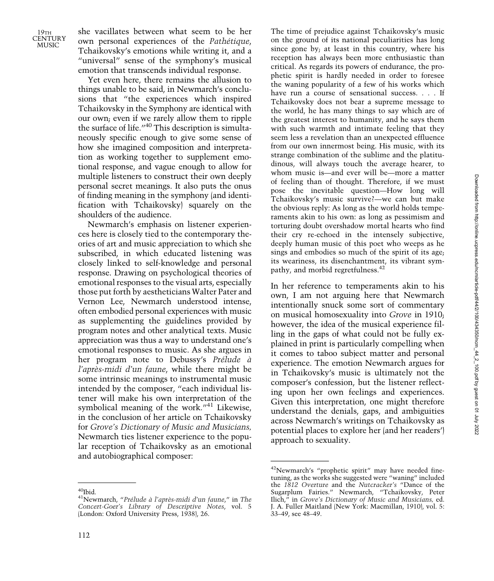19TH **CENTURY** MUSIC<sup>1</sup>

she vacillates between what seem to be her own personal experiences of the Pathétique, Tchaikovsky's emotions while writing it, and a "universal" sense of the symphony's musical emotion that transcends individual response.

Yet even here, there remains the allusion to things unable to be said, in Newmarch's conclusions that "the experiences which inspired Tchaikovsky in the Symphony are identical with our own; even if we rarely allow them to ripple the surface of life."<sup>40</sup> This description is simultaneously specific enough to give some sense of how she imagined composition and interpretation as working together to supplement emotional response, and vague enough to allow for multiple listeners to construct their own deeply personal secret meanings. It also puts the onus of finding meaning in the symphony (and identification with Tchaikovsky) squarely on the shoulders of the audience.

Newmarch's emphasis on listener experiences here is closely tied to the contemporary theories of art and music appreciation to which she subscribed, in which educated listening was closely linked to self-knowledge and personal response. Drawing on psychological theories of emotional responses to the visual arts, especially those put forth by aestheticians Walter Pater and Vernon Lee, Newmarch understood intense, often embodied personal experiences with music as supplementing the guidelines provided by program notes and other analytical texts. Music appreciation was thus a way to understand one's emotional responses to music. As she argues in her program note to Debussy's Prélude à l'après-midi d'un faune, while there might be some intrinsic meanings to instrumental music intended by the composer, "each individual listener will make his own interpretation of the symbolical meaning of the work."<sup>41</sup> Likewise, in the conclusion of her article on Tchaikovsky for Grove's Dictionary of Music and Musicians, Newmarch ties listener experience to the popular reception of Tchaikovsky as an emotional and autobiographical composer:

The time of prejudice against Tchaikovsky's music on the ground of its national peculiarities has long since gone by; at least in this country, where his reception has always been more enthusiastic than critical. As regards its powers of endurance, the prophetic spirit is hardly needed in order to foresee the waning popularity of a few of his works which have run a course of sensational success. . . . If Tchaikovsky does not bear a supreme message to the world, he has many things to say which are of the greatest interest to humanity, and he says them with such warmth and intimate feeling that they seem less a revelation than an unexpected effluence from our own innermost being. His music, with its strange combination of the sublime and the platitudinous, will always touch the average hearer, to whom music is—and ever will be—more a matter of feeling than of thought. Therefore, if we must pose the inevitable question—How long will Tchaikovsky's music survive?—we can but make the obvious reply: As long as the world holds temperaments akin to his own: as long as pessimism and torturing doubt overshadow mortal hearts who find their cry re-echoed in the intensely subjective, deeply human music of this poet who weeps as he sings and embodies so much of the spirit of its age; its weariness, its disenchantment, its vibrant sympathy, and morbid regretfulness.<sup>42</sup>

In her reference to temperaments akin to his own, I am not arguing here that Newmarch intentionally snuck some sort of commentary on musical homosexuality into Grove in 1910; however, the idea of the musical experience filling in the gaps of what could not be fully explained in print is particularly compelling when it comes to taboo subject matter and personal experience. The emotion Newmarch argues for in Tchaikovsky's music is ultimately not the composer's confession, but the listener reflecting upon her own feelings and experiences. Given this interpretation, one might therefore understand the denials, gaps, and ambiguities across Newmarch's writings on Tchaikovsky as potential places to explore her (and her readers') approach to sexuality.

 $^{40}\!$ Ibid.  $^{41}\!$ Newmarch, "Prélude à l'après-midi d'un faune," in The Concert-Goer's Library of Descriptive Notes, vol. 5 (London: Oxford University Press, 1938), 26.

<sup>42</sup>Newmarch's "prophetic spirit" may have needed finetuning, as the works she suggested were "waning" included the 1812 Overture and the Nutcracker's "Dance of the Sugarplum Fairies." Newmarch, "Tchaikovsky, Peter Ilich," in Grove's Dictionary of Music and Musicians, ed. J. A. Fuller Maitland (New York: Macmillan, 1910), vol. 5: 33–49, see 48–49.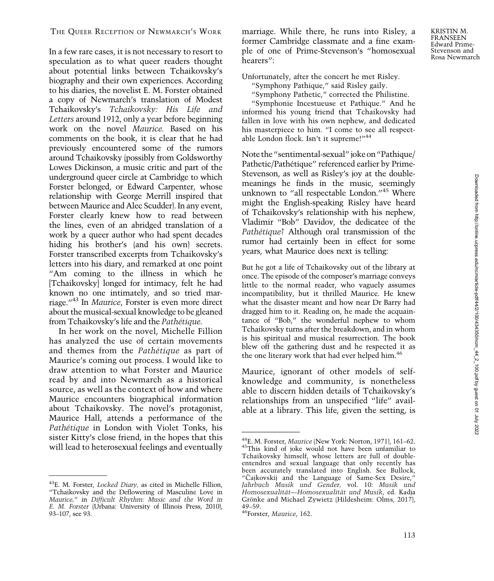In a few rare cases, it is not necessary to resort to speculation as to what queer readers thought about potential links between Tchaikovsky's biography and their own experiences. According to his diaries, the novelist E. M. Forster obtained a copy of Newmarch's translation of Modest Tchaikovsky's Tchaikovsky: His Life and Letters around 1912, only a year before beginning work on the novel Maurice. Based on his comments on the book, it is clear that he had previously encountered some of the rumors around Tchaikovsky (possibly from Goldsworthy Lowes Dickinson, a music critic and part of the underground queer circle at Cambridge to which Forster belonged, or Edward Carpenter, whose relationship with George Merrill inspired that between Maurice and Alec Scudder). In any event, Forster clearly knew how to read between the lines, even of an abridged translation of a work by a queer author who had spent decades hiding his brother's (and his own) secrets. Forster transcribed excerpts from Tchaikovsky's letters into his diary, and remarked at one point "Am coming to the illness in which he [Tchaikovsky] longed for intimacy, felt he had known no one intimately, and so tried marriage."<sup>43</sup> In Maurice, Forster is even more direct about the musical-sexual knowledge to be gleaned from Tchaikovsky's life and the Pathétique.

In her work on the novel, Michelle Fillion has analyzed the use of certain movements and themes from the Pathétique as part of Maurice's coming out process. I would like to draw attention to what Forster and Maurice read by and into Newmarch as a historical source, as well as the context of how and where Maurice encounters biographical information about Tchaikovsky. The novel's protagonist, Maurice Hall, attends a performance of the Pathétique in London with Violet Tonks, his sister Kitty's close friend, in the hopes that this will lead to heterosexual feelings and eventually

<sup>43</sup>E. M. Forster, *Locked Diary*, as cited in Michelle Fillion, "Tchaikovsky and the Deflowering of Masculine Love in Maurice," in Difficult Rhythm: Music and the Word in E. M. Forster (Urbana: University of Illinois Press, 2010), 93–107, see 93.

marriage. While there, he runs into Risley, a former Cambridge classmate and a fine example of one of Prime-Stevenson's "homosexual hearers":

Unfortunately, after the concert he met Risley.

"Symphony Pathique," said Risley gaily.

"Symphony Pathetic," corrected the Philistine.

"Symphonie Incestueuse et Pathique." And he informed his young friend that Tchaikovsky had fallen in love with his own nephew, and dedicated his masterpiece to him. "I come to see all respectable London flock. Isn't it supreme!"<sup>44</sup>

Note the"sentimental-sexual"joke on"Pathique/ Pathetic/Pathétique" referenced earlier by Prime-Stevenson, as well as Risley's joy at the doublemeanings he finds in the music, seemingly unknown to "all respectable London."<sup>45</sup> Where might the English-speaking Risley have heard of Tchaikovsky's relationship with his nephew, Vladimir "Bob" Davidov, the dedicatee of the Pathétique? Although oral transmission of the rumor had certainly been in effect for some years, what Maurice does next is telling:

But he got a life of Tchaikovsky out of the library at once. The episode of the composer's marriage conveys little to the normal reader, who vaguely assumes incompatibility, but it thrilled Maurice. He knew what the disaster meant and how near Dr Barry had dragged him to it. Reading on, he made the acquaintance of "Bob," the wonderful nephew to whom Tchaikovsky turns after the breakdown, and in whom is his spiritual and musical resurrection. The book blew off the gathering dust and he respected it as the one literary work that had ever helped him.<sup>46</sup>

Maurice, ignorant of other models of selfknowledge and community, is nonetheless able to discern hidden details of Tchaikovsky's relationships from an unspecified "life" available at a library. This life, given the setting, is

<sup>44</sup>E. M. Forster, Maurice (New York: Norton, 1971), 161–62. 45This kind of joke would not have been unfamiliar to Tchaikovsky himself, whose letters are full of doubleentendres and sexual language that only recently has been accurately translated into English. See Bullock, "Čajkovskij and the Language of Same-Sex Desire," Jahrbuch Musik und Gender, vol. 10: Musik und Homosexualität—Homosexualität und Musik, ed. Kadja Grönke and Michael Zywietz (Hildesheim: Olms, 2017), 49–59.<br><sup>46</sup>Forster, Maurice, 162.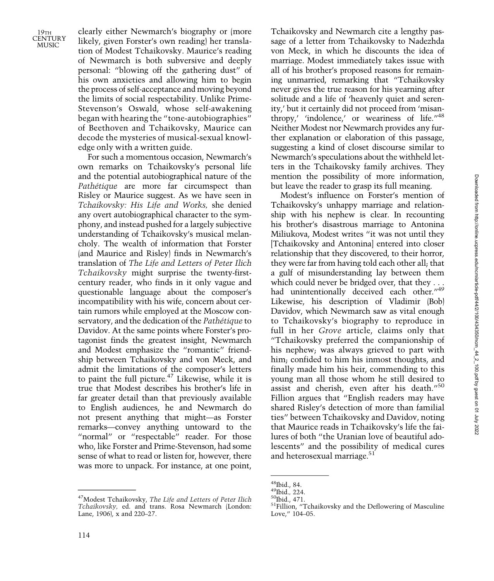$19\mathrm{TH}$ **CENTURY** MUSIC<sup>1</sup>

clearly either Newmarch's biography or (more likely, given Forster's own reading) her translation of Modest Tchaikovsky. Maurice's reading of Newmarch is both subversive and deeply personal: "blowing off the gathering dust" of his own anxieties and allowing him to begin the process of self-acceptance and moving beyond the limits of social respectability. Unlike Prime-Stevenson's Oswald, whose self-awakening began with hearing the "tone-autobiographies" of Beethoven and Tchaikovsky, Maurice can decode the mysteries of musical-sexual knowledge only with a written guide.

For such a momentous occasion, Newmarch's own remarks on Tchaikovsky's personal life and the potential autobiographical nature of the Pathétique are more far circumspect than Risley or Maurice suggest. As we have seen in Tchaikovsky: His Life and Works, she denied any overt autobiographical character to the symphony, and instead pushed for a largely subjective understanding of Tchaikovsky's musical melancholy. The wealth of information that Forster (and Maurice and Risley) finds in Newmarch's translation of The Life and Letters of Peter Ilich Tchaikovsky might surprise the twenty-firstcentury reader, who finds in it only vague and questionable language about the composer's incompatibility with his wife, concern about certain rumors while employed at the Moscow conservatory, and the dedication of the Pathétique to Davidov. At the same points where Forster's protagonist finds the greatest insight, Newmarch and Modest emphasize the "romantic" friendship between Tchaikovsky and von Meck, and admit the limitations of the composer's letters to paint the full picture.<sup>47</sup> Likewise, while it is true that Modest describes his brother's life in far greater detail than that previously available to English audiences, he and Newmarch do not present anything that might—as Forster remarks—convey anything untoward to the "normal" or "respectable" reader. For those who, like Forster and Prime-Stevenson, had some sense of what to read or listen for, however, there was more to unpack. For instance, at one point,

Tchaikovsky and Newmarch cite a lengthy passage of a letter from Tchaikovsky to Nadezhda von Meck, in which he discounts the idea of marriage. Modest immediately takes issue with all of his brother's proposed reasons for remaining unmarried, remarking that "Tchaikovsky never gives the true reason for his yearning after solitude and a life of 'heavenly quiet and serenity,' but it certainly did not proceed from 'misanthropy,' 'indolence,' or weariness of life."<sup>48</sup> Neither Modest nor Newmarch provides any further explanation or elaboration of this passage, suggesting a kind of closet discourse similar to Newmarch's speculations about the withheld letters in the Tchaikovsky family archives. They mention the possibility of more information, but leave the reader to grasp its full meaning.

Modest's influence on Forster's mention of Tchaikovsky's unhappy marriage and relationship with his nephew is clear. In recounting his brother's disastrous marriage to Antonina Miliukova, Modest writes "it was not until they [Tchaikovsky and Antonina] entered into closer relationship that they discovered, to their horror, they were far from having told each other all; that a gulf of misunderstanding lay between them which could never be bridged over, that they . . . had unintentionally deceived each other."49 Likewise, his description of Vladimir (Bob) Davidov, which Newmarch saw as vital enough to Tchaikovsky's biography to reproduce in full in her Grove article, claims only that "Tchaikovsky preferred the companionship of his nephew; was always grieved to part with him; confided to him his inmost thoughts, and finally made him his heir, commending to this young man all those whom he still desired to assist and cherish, even after his death."<sup>50</sup> Fillion argues that "English readers may have shared Risley's detection of more than familial ties" between Tchaikovsky and Davidov, noting that Maurice reads in Tchaikovsky's life the failures of both "the Uranian love of beautiful adolescents" and the possibility of medical cures and heterosexual marriage.<sup>51</sup>

<sup>&</sup>lt;sup>47</sup>Modest Tchaikovsky, The Life and Letters of Peter Ilich Tchaikovsky, ed. and trans. Rosa Newmarch (London: Lane, 1906), x and 220–27.

<sup>&</sup>lt;sup>48</sup>Ibid., 84.<br><sup>49</sup>Ibid., 224.<br><sup>50</sup>Ibid., 471.<br><sup>51</sup>Fillion, "Tchaikovsky and the Deflowering of Masculine Love," 104–05.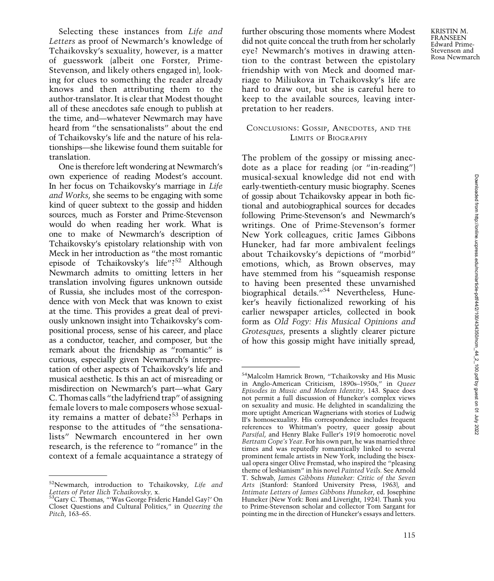Selecting these instances from Life and Letters as proof of Newmarch's knowledge of Tchaikovsky's sexuality, however, is a matter of guesswork (albeit one Forster, Prime-Stevenson, and likely others engaged in), looking for clues to something the reader already knows and then attributing them to the author-translator. It is clear that Modest thought all of these anecdotes safe enough to publish at the time, and—whatever Newmarch may have heard from "the sensationalists" about the end of Tchaikovsky's life and the nature of his relationships—she likewise found them suitable for translation.

One is therefore left wondering at Newmarch's own experience of reading Modest's account. In her focus on Tchaikovsky's marriage in Life and Works, she seems to be engaging with some kind of queer subtext to the gossip and hidden sources, much as Forster and Prime-Stevenson would do when reading her work. What is one to make of Newmarch's description of Tchaikovsky's epistolary relationship with von Meck in her introduction as "the most romantic episode of Tchaikovsky's life"?<sup>52</sup> Although Newmarch admits to omitting letters in her translation involving figures unknown outside of Russia, she includes most of the correspondence with von Meck that was known to exist at the time. This provides a great deal of previously unknown insight into Tchaikovsky's compositional process, sense of his career, and place as a conductor, teacher, and composer, but the remark about the friendship as "romantic" is curious, especially given Newmarch's interpretation of other aspects of Tchaikovsky's life and musical aesthetic. Is this an act of misreading or misdirection on Newmarch's part—what Gary C. Thomas calls "the ladyfriend trap" of assigning female lovers to male composers whose sexuality remains a matter of debate?<sup>53</sup> Perhaps in response to the attitudes of "the sensationalists" Newmarch encountered in her own research, is the reference to "romance" in the context of a female acquaintance a strategy of

<sup>52</sup>Newmarch, introduction to Tchaikovsky, Life and Letters of Peter Ilich Tchaikovsky, x.<br><sup>53</sup>Gary C. Thomas, "'Was George Frideric Handel Gay?' On

further obscuring those moments where Modest did not quite conceal the truth from her scholarly eye? Newmarch's motives in drawing attention to the contrast between the epistolary friendship with von Meck and doomed marriage to Miliukova in Tchaikovsky's life are hard to draw out, but she is careful here to keep to the available sources, leaving interpretation to her readers.

# CONCLUSIONS: GOSSIP, ANECDOTES, AND THE LIMITS OF BIOGRAPHY

The problem of the gossipy or missing anecdote as a place for reading (or "in-reading") musical-sexual knowledge did not end with early-twentieth-century music biography. Scenes of gossip about Tchaikovsky appear in both fictional and autobiographical sources for decades following Prime-Stevenson's and Newmarch's writings. One of Prime-Stevenson's former New York colleagues, critic James Gibbons Huneker, had far more ambivalent feelings about Tchaikovsky's depictions of "morbid" emotions, which, as Brown observes, may have stemmed from his "squeamish response to having been presented these unvarnished biographical details."<sup>54</sup> Nevertheless, Huneker's heavily fictionalized reworking of his earlier newspaper articles, collected in book form as Old Fogy: His Musical Opinions and Grotesques, presents a slightly clearer picture of how this gossip might have initially spread,

Closet Questions and Cultural Politics," in Queering the Pitch, 163–65.

<sup>54</sup>Malcolm Hamrick Brown, "Tchaikovsky and His Music in Anglo-American Criticism, 1890s–1950s," in Queer Episodes in Music and Modern Identity, 143. Space does not permit a full discussion of Huneker's complex views on sexuality and music. He delighted in scandalizing the more uptight American Wagnerians with stories of Ludwig II's homosexuality. His correspondence includes frequent references to Whitman's poetry, queer gossip about Parsifal, and Henry Blake Fuller's 1919 homoerotic novel Bertram Cope's Year. For his own part, he was married three times and was reputedly romantically linked to several prominent female artists in New York, including the bisexual opera singer Olive Fremstad, who inspired the "pleasing theme of lesbianism" in his novel Painted Veils. See Arnold T. Schwab, James Gibbons Huneker: Critic of the Seven Arts (Stanford: Stanford University Press, 1963), and Intimate Letters of James Gibbons Huneker, ed. Josephine Huneker (New York: Boni and Liveright, 1924). Thank you to Prime-Stevenson scholar and collector Tom Sargant for pointing me in the direction of Huneker's essays and letters.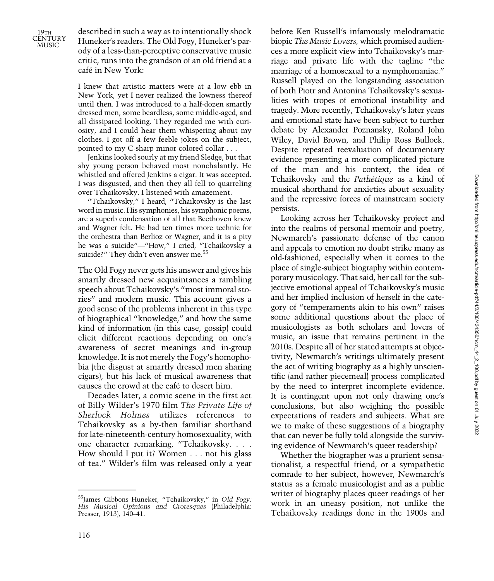19TH **CENTURY** MUSIC

described in such a way as to intentionally shock Huneker's readers. The Old Fogy, Huneker's parody of a less-than-perceptive conservative music critic, runs into the grandson of an old friend at a café in New York:

I knew that artistic matters were at a low ebb in New York, yet I never realized the lowness thereof until then. I was introduced to a half-dozen smartly dressed men, some beardless, some middle-aged, and all dissipated looking. They regarded me with curiosity, and I could hear them whispering about my clothes. I got off a few feeble jokes on the subject, pointed to my C-sharp minor colored collar . . .

Jenkins looked sourly at my friend Sledge, but that shy young person behaved most nonchalantly. He whistled and offered Jenkins a cigar. It was accepted. I was disgusted, and then they all fell to quarreling over Tchaikovsky. I listened with amazement.

"Tchaikovsky," I heard, "Tchaikovsky is the last word in music. His symphonies, his symphonic poems, are a superb condensation of all that Beethoven knew and Wagner felt. He had ten times more technic for the orchestra than Berlioz or Wagner, and it is a pity he was a suicide"—"How," I cried, "Tchaikovsky a suicide?" They didn't even answer me.<sup>55</sup>

The Old Fogy never gets his answer and gives his smartly dressed new acquaintances a rambling speech about Tchaikovsky's "most immoral stories" and modern music. This account gives a good sense of the problems inherent in this type of biographical "knowledge," and how the same kind of information (in this case, gossip) could elicit different reactions depending on one's awareness of secret meanings and in-group knowledge. It is not merely the Fogy's homophobia (the disgust at smartly dressed men sharing cigars), but his lack of musical awareness that causes the crowd at the café to desert him.

Decades later, a comic scene in the first act of Billy Wilder's 1970 film The Private Life of Sherlock Holmes utilizes references to Tchaikovsky as a by-then familiar shorthand for late-nineteenth-century homosexuality, with one character remarking, "Tchaikovsky. . . . How should I put it? Women . . . not his glass of tea." Wilder's film was released only a year

before Ken Russell's infamously melodramatic biopic The Music Lovers, which promised audiences a more explicit view into Tchaikovsky's marriage and private life with the tagline "the marriage of a homosexual to a nymphomaniac." Russell played on the longstanding association of both Piotr and Antonina Tchaikovsky's sexualities with tropes of emotional instability and tragedy. More recently, Tchaikovsky's later years and emotional state have been subject to further debate by Alexander Poznansky, Roland John Wiley, David Brown, and Philip Ross Bullock. Despite repeated reevaluation of documentary evidence presenting a more complicated picture of the man and his context, the idea of Tchaikovsky and the Pathétique as a kind of musical shorthand for anxieties about sexuality and the repressive forces of mainstream society persists.

Looking across her Tchaikovsky project and into the realms of personal memoir and poetry, Newmarch's passionate defense of the canon and appeals to emotion no doubt strike many as old-fashioned, especially when it comes to the place of single-subject biography within contemporary musicology. That said, her call for the subjective emotional appeal of Tchaikovsky's music and her implied inclusion of herself in the category of "temperaments akin to his own" raises some additional questions about the place of musicologists as both scholars and lovers of music, an issue that remains pertinent in the 2010s. Despite all of her stated attempts at objectivity, Newmarch's writings ultimately present the act of writing biography as a highly unscientific (and rather piecemeal) process complicated by the need to interpret incomplete evidence. It is contingent upon not only drawing one's conclusions, but also weighing the possible expectations of readers and subjects. What are we to make of these suggestions of a biography that can never be fully told alongside the surviving evidence of Newmarch's queer readership?

Whether the biographer was a prurient sensationalist, a respectful friend, or a sympathetic comrade to her subject, however, Newmarch's status as a female musicologist and as a public writer of biography places queer readings of her work in an uneasy position, not unlike the Tchaikovsky readings done in the 1900s and

<sup>55</sup>James Gibbons Huneker, "Tchaikovsky," in Old Fogy: His Musical Opinions and Grotesques (Philadelphia: Presser, 1913), 140–41.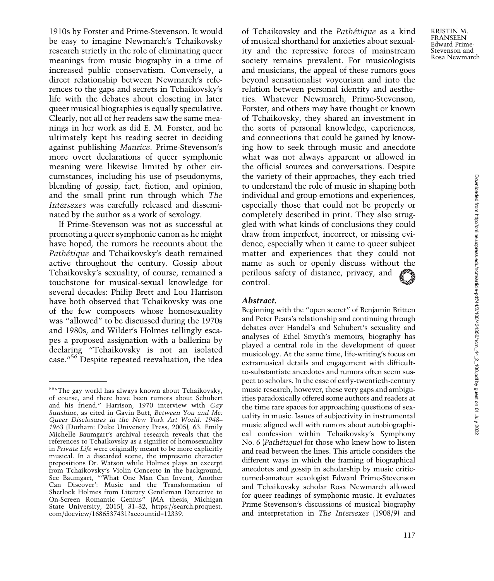1910s by Forster and Prime-Stevenson. It would be easy to imagine Newmarch's Tchaikovsky research strictly in the role of eliminating queer meanings from music biography in a time of increased public conservatism. Conversely, a direct relationship between Newmarch's references to the gaps and secrets in Tchaikovsky's life with the debates about closeting in later queer musical biographies is equally speculative. Clearly, not all of her readers saw the same meanings in her work as did E. M. Forster, and he ultimately kept his reading secret in deciding against publishing Maurice. Prime-Stevenson's more overt declarations of queer symphonic meaning were likewise limited by other circumstances, including his use of pseudonyms, blending of gossip, fact, fiction, and opinion, and the small print run through which The Intersexes was carefully released and disseminated by the author as a work of sexology.

If Prime-Stevenson was not as successful at promoting a queer symphonic canon as he might have hoped, the rumors he recounts about the Pathétique and Tchaikovsky's death remained active throughout the century. Gossip about Tchaikovsky's sexuality, of course, remained a touchstone for musical-sexual knowledge for several decades: Philip Brett and Lou Harrison have both observed that Tchaikovsky was one of the few composers whose homosexuality was "allowed" to be discussed during the 1970s and 1980s, and Wilder's Holmes tellingly escapes a proposed assignation with a ballerina by declaring "Tchaikovsky is not an isolated case."<sup>56</sup> Despite repeated reevaluation, the idea of Tchaikovsky and the Pathétique as a kind of musical shorthand for anxieties about sexuality and the repressive forces of mainstream society remains prevalent. For musicologists and musicians, the appeal of these rumors goes beyond sensationalist voyeurism and into the relation between personal identity and aesthetics. Whatever Newmarch, Prime-Stevenson, Forster, and others may have thought or known of Tchaikovsky, they shared an investment in the sorts of personal knowledge, experiences, and connections that could be gained by knowing how to seek through music and anecdote what was not always apparent or allowed in the official sources and conversations. Despite the variety of their approaches, they each tried to understand the role of music in shaping both individual and group emotions and experiences, especially those that could not be properly or completely described in print. They also struggled with what kinds of conclusions they could draw from imperfect, incorrect, or missing evidence, especially when it came to queer subject matter and experiences that they could not name as such or openly discuss without the perilous safety of distance, privacy, and control.

#### Abstract.

Beginning with the "open secret" of Benjamin Britten and Peter Pears's relationship and continuing through debates over Handel's and Schubert's sexuality and analyses of Ethel Smyth's memoirs, biography has played a central role in the development of queer musicology. At the same time, life-writing's focus on extramusical details and engagement with difficultto-substantiate anecdotes and rumors often seem suspect to scholars. In the case of early-twentieth-century music research, however, these very gaps and ambiguities paradoxically offered some authors and readers at the time rare spaces for approaching questions of sexuality in music. Issues of subjectivity in instrumental music aligned well with rumors about autobiographical confession within Tchaikovsky's Symphony No. 6 (Pathétique) for those who knew how to listen and read between the lines. This article considers the different ways in which the framing of biographical anecdotes and gossip in scholarship by music criticturned-amateur sexologist Edward Prime-Stevenson and Tchaikovsky scholar Rosa Newmarch allowed for queer readings of symphonic music. It evaluates Prime-Stevenson's discussions of musical biography and interpretation in The Intersexes (1908/9) and

<sup>56</sup>"The gay world has always known about Tchaikovsky, of course, and there have been rumors about Schubert and his friend." Harrison, 1970 interview with Gay Sunshine, as cited in Gavin Butt, Between You and Me: Queer Disclosures in the New York Art World, 1948– 1963 (Durham: Duke University Press, 2005), 63. Emily Michelle Baumgart's archival research reveals that the references to Tchaikovsky as a signifier of homosexuality in Private Life were originally meant to be more explicitly musical. In a discarded scene, the impresario character prepositions Dr. Watson while Holmes plays an excerpt from Tchaikovsky's Violin Concerto in the background. See Baumgart, "'What One Man Can Invent, Another Can Discover': Music and the Transformation of Sherlock Holmes from Literary Gentleman Detective to On-Screen Romantic Genius" (MA thesis, Michigan State University, 2015), 31–32, [https://search.proquest.](https://search.proquest) com/docview/1686537431?accountid=12339.